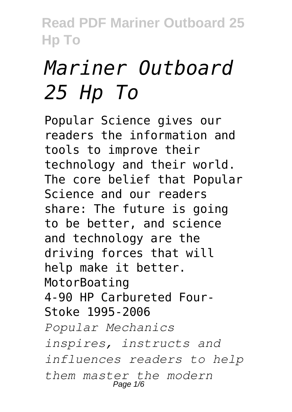# *Mariner Outboard 25 Hp To*

Popular Science gives our readers the information and tools to improve their technology and their world. The core belief that Popular Science and our readers share: The future is going to be better, and science and technology are the driving forces that will help make it better. MotorBoating 4-90 HP Carbureted Four-Stoke 1995-2006 *Popular Mechanics inspires, instructs and influences readers to help them master the modern* Page 1/6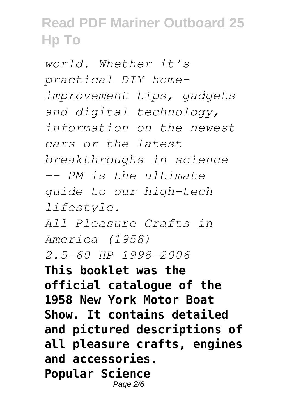*world. Whether it's practical DIY homeimprovement tips, gadgets and digital technology, information on the newest cars or the latest breakthroughs in science -- PM is the ultimate guide to our high-tech lifestyle. All Pleasure Crafts in America (1958) 2.5-60 HP 1998-2006* **This booklet was the official catalogue of the 1958 New York Motor Boat Show. It contains detailed and pictured descriptions of all pleasure crafts, engines and accessories. Popular Science** Page 2/6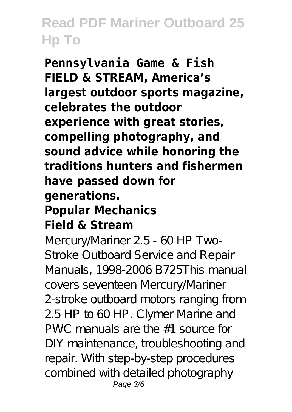**Pennsylvania Game & Fish FIELD & STREAM, America's largest outdoor sports magazine, celebrates the outdoor experience with great stories, compelling photography, and sound advice while honoring the traditions hunters and fishermen have passed down for generations. Popular Mechanics Field & Stream**

Mercury/Mariner 2.5 - 60 HP Two-Stroke Outboard Service and Repair Manuals, 1998-2006 B725This manual covers seventeen Mercury/Mariner 2-stroke outboard motors ranging from 2.5 HP to 60 HP. Clymer Marine and PWC manuals are the #1 source for DIY maintenance, troubleshooting and repair. With step-by-step procedures combined with detailed photography Page 3/6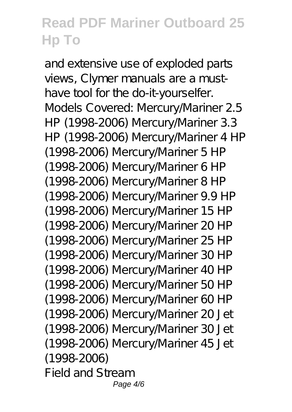and extensive use of exploded parts views, Clymer manuals are a musthave tool for the do-it-yourselfer. Models Covered: Mercury/Mariner 2.5 HP (1998-2006) Mercury/Mariner 3.3 HP (1998-2006) Mercury/Mariner 4 HP (1998-2006) Mercury/Mariner 5 HP (1998-2006) Mercury/Mariner 6 HP (1998-2006) Mercury/Mariner 8 HP (1998-2006) Mercury/Mariner 9.9 HP (1998-2006) Mercury/Mariner 15 HP (1998-2006) Mercury/Mariner 20 HP (1998-2006) Mercury/Mariner 25 HP (1998-2006) Mercury/Mariner 30 HP (1998-2006) Mercury/Mariner 40 HP (1998-2006) Mercury/Mariner 50 HP (1998-2006) Mercury/Mariner 60 HP (1998-2006) Mercury/Mariner 20 Jet (1998-2006) Mercury/Mariner 30 Jet (1998-2006) Mercury/Mariner 45 Jet (1998-2006) Field and Stream Page  $4/6$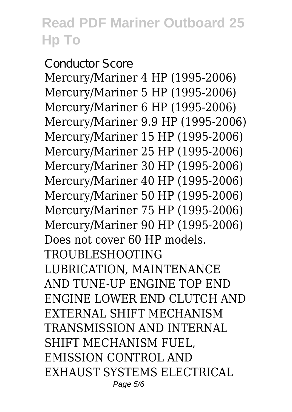Conductor Score Mercury/Mariner 4 HP (1995-2006) Mercury/Mariner 5 HP (1995-2006) Mercury/Mariner 6 HP (1995-2006) Mercury/Mariner 9.9 HP (1995-2006) Mercury/Mariner 15 HP (1995-2006) Mercury/Mariner 25 HP (1995-2006) Mercury/Mariner 30 HP (1995-2006) Mercury/Mariner 40 HP (1995-2006) Mercury/Mariner 50 HP (1995-2006) Mercury/Mariner 75 HP (1995-2006) Mercury/Mariner 90 HP (1995-2006) Does not cover 60 HP models. TROUBLESHOOTING LUBRICATION, MAINTENANCE AND TUNE-UP ENGINE TOP END ENGINE LOWER END CLUTCH AND EXTERNAL SHIFT MECHANISM TRANSMISSION AND INTERNAL SHIFT MECHANISM FUEL, EMISSION CONTROL AND EXHAUST SYSTEMS ELECTRICAL Page 5/6